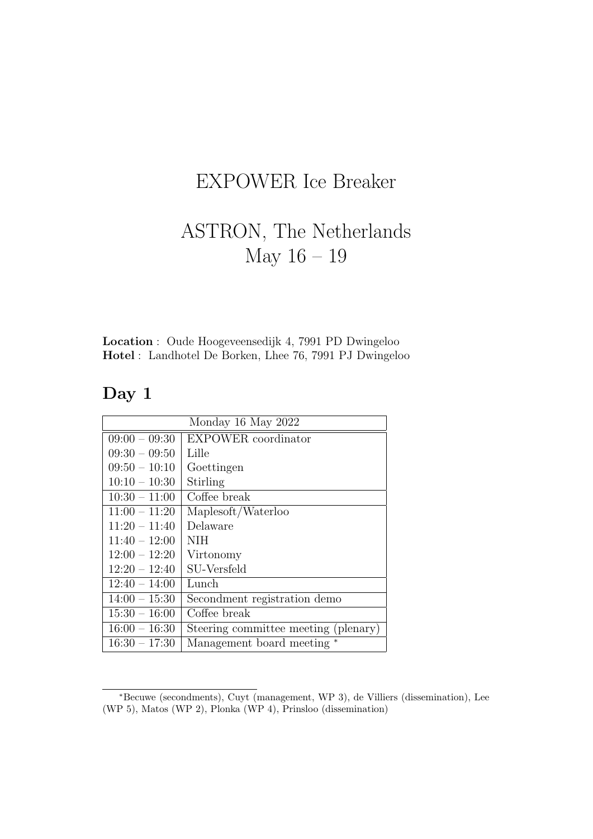## EXPOWER Ice Breaker

## ASTRON, The Netherlands May 16 – 19

Location : Oude Hoogeveensedijk 4, 7991 PD Dwingeloo Hotel : Landhotel De Borken, Lhee 76, 7991 PJ Dwingeloo

## Day 1

| Monday 16 May 2022 |                                      |  |
|--------------------|--------------------------------------|--|
| $09:00 - 09:30$    | <b>EXPOWER</b> coordinator           |  |
| $09:30 - 09:50$    | Lille                                |  |
| $09:50 - 10:10$    | Goettingen                           |  |
| $10:10 - 10:30$    | Stirling                             |  |
| $10:30 - 11:00$    | Coffee break                         |  |
| $11:00 - 11:20$    | Maplesoft/Waterloo                   |  |
| $11:20 - 11:40$    | Delaware                             |  |
| $11:40 - 12:00$    | NIH                                  |  |
| $12:00 - 12:20$    | Virtonomy                            |  |
| $12:20 - 12:40$    | SU-Versfeld                          |  |
| $12:40 - 14:00$    | Lunch                                |  |
| $14:00 - 15:30$    | Secondment registration demo         |  |
| $15:30 - 16:00$    | Coffee break                         |  |
| $16:00 - 16:30$    | Steering committee meeting (plenary) |  |
| $16:30 - 17:30$    | Management board meeting             |  |

<sup>∗</sup>Becuwe (secondments), Cuyt (management, WP 3), de Villiers (dissemination), Lee (WP 5), Matos (WP 2), Plonka (WP 4), Prinsloo (dissemination)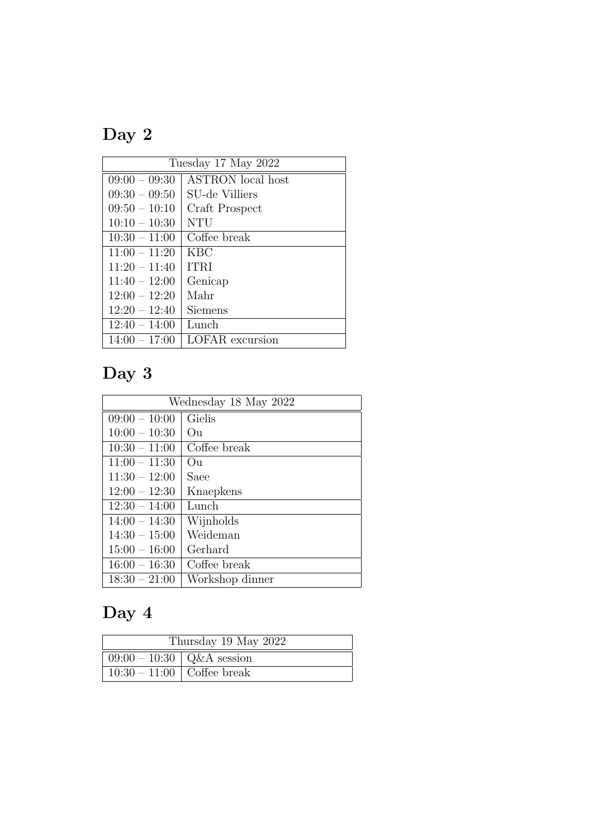# Day 2

| Tuesday 17 May 2022 |                          |  |
|---------------------|--------------------------|--|
| $09:00 - 09:30$     | <b>ASTRON</b> local host |  |
| $09:30 - 09:50$     | SU-de Villiers           |  |
| $09:50 - 10:10$     | Craft Prospect           |  |
| $10:10 - 10:30$     | <b>NTU</b>               |  |
| $10:30 - 11:00$     | Coffee break             |  |
| $11:00 - 11:20$     | <b>KBC</b>               |  |
| $11:20 - 11:40$     | <b>ITRI</b>              |  |
| $11:40 - 12:00$     | Genicap                  |  |
| $12:00 - 12:20$     | Mahr                     |  |
| $12:20 - 12:40$     | Siemens                  |  |
| $12:40 - 14:00$     | Lunch                    |  |
| $14:00 - 17:00$     | <b>LOFAR</b> excursion   |  |

# Day 3

| Wednesday 18 May 2022 |                 |  |
|-----------------------|-----------------|--|
| $09:00 - 10:00$       | Gielis          |  |
| $10:00 - 10:30$       | Ou              |  |
| $10:30 - 11:00$       | Coffee break    |  |
| $11:00 - 11:30$       | O <sub>11</sub> |  |
| $11:30 - 12:00$       | Saee            |  |
| $12:00 - 12:30$       | Knaepkens       |  |
| $12:30 - 14:00$       | Lunch           |  |
| $14:00 - 14:30$       | Wijnholds       |  |
| $14:30 - 15:00$       | Weideman        |  |
| $15:00 - 16:00$       | Gerhard         |  |
| $16:00 - 16:30$       | Coffee break    |  |
| $18:30 - 21:00$       | Workshop dinner |  |

# Day 4

| Thursday 19 May 2022           |  |  |
|--------------------------------|--|--|
| $09:00 - 10:30$   Q&A session  |  |  |
| $10:30 - 11:00$   Coffee break |  |  |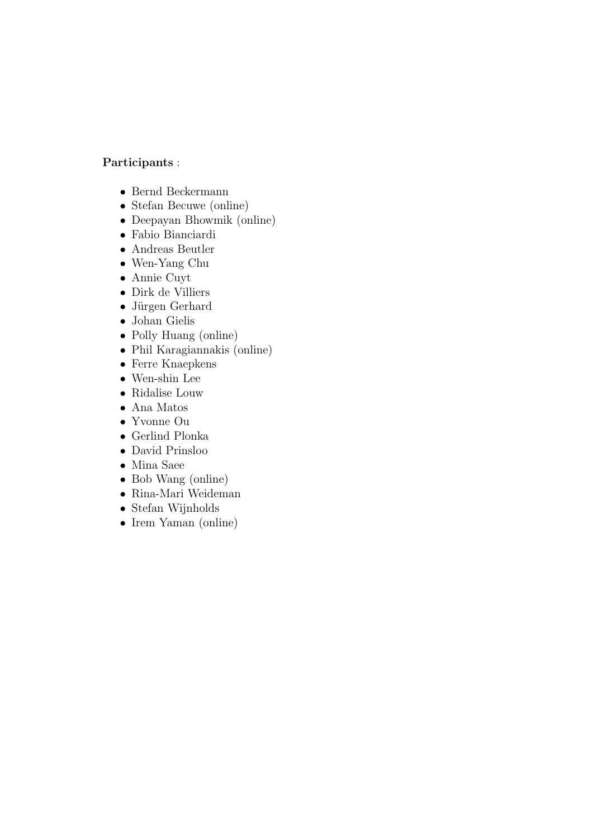### Participants :

- Bernd Beckermann
- Stefan Becuwe (online)
- Deepayan Bhowmik (online)
- Fabio Bianciardi
- Andreas Beutler
- Wen-Yang Chu
- Annie Cuyt
- Dirk de Villiers
- Jürgen Gerhard
- Johan Gielis
- Polly Huang (online)
- Phil Karagiannakis (online)
- Ferre Knaepkens
- Wen-shin Lee
- Ridalise Louw
- Ana Matos
- Yvonne Ou
- Gerlind Plonka
- David Prinsloo
- Mina Saee
- Bob Wang (online)
- Rina-Mari Weideman
- Stefan Wijnholds
- Irem Yaman (online)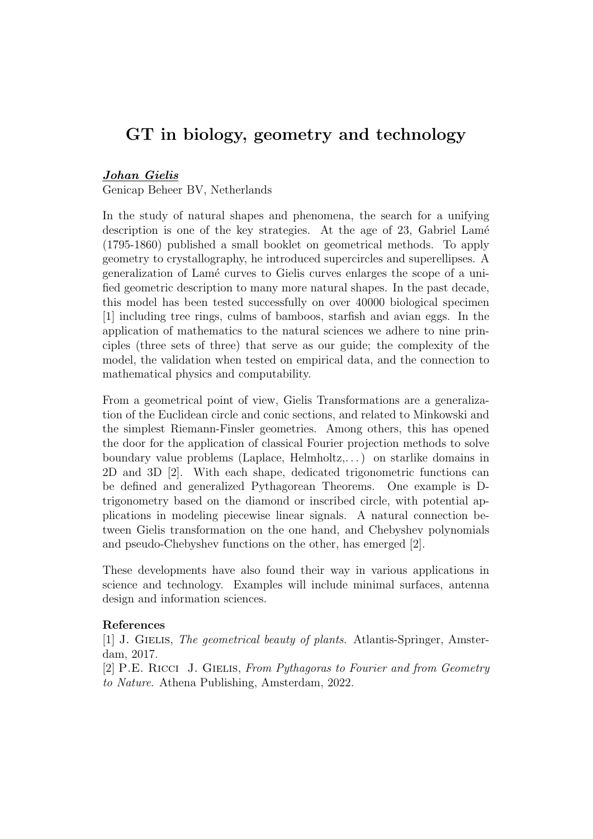## GT in biology, geometry and technology

#### Johan Gielis

Genicap Beheer BV, Netherlands

In the study of natural shapes and phenomena, the search for a unifying description is one of the key strategies. At the age of 23, Gabriel Lamé (1795-1860) published a small booklet on geometrical methods. To apply geometry to crystallography, he introduced supercircles and superellipses. A generalization of Lam´e curves to Gielis curves enlarges the scope of a unified geometric description to many more natural shapes. In the past decade, this model has been tested successfully on over 40000 biological specimen [1] including tree rings, culms of bamboos, starfish and avian eggs. In the application of mathematics to the natural sciences we adhere to nine principles (three sets of three) that serve as our guide; the complexity of the model, the validation when tested on empirical data, and the connection to mathematical physics and computability.

From a geometrical point of view, Gielis Transformations are a generalization of the Euclidean circle and conic sections, and related to Minkowski and the simplest Riemann-Finsler geometries. Among others, this has opened the door for the application of classical Fourier projection methods to solve boundary value problems (Laplace, Helmholtz,...) on starlike domains in 2D and 3D [2]. With each shape, dedicated trigonometric functions can be defined and generalized Pythagorean Theorems. One example is Dtrigonometry based on the diamond or inscribed circle, with potential applications in modeling piecewise linear signals. A natural connection between Gielis transformation on the one hand, and Chebyshev polynomials and pseudo-Chebyshev functions on the other, has emerged [2].

These developments have also found their way in various applications in science and technology. Examples will include minimal surfaces, antenna design and information sciences.

#### References

[1] J. GIELIS, The geometrical beauty of plants. Atlantis-Springer, Amsterdam, 2017.

[2] P.E. RICCI J. GIELIS, From Pythagoras to Fourier and from Geometry to Nature. Athena Publishing, Amsterdam, 2022.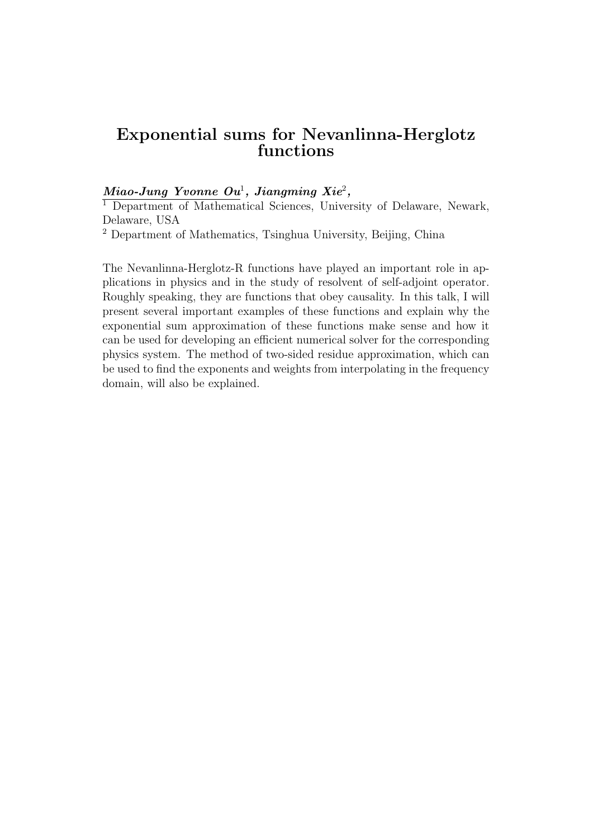## Exponential sums for Nevanlinna-Herglotz functions

### $Miao\emph{-} Jung~Yvonne~\emph{O}u^1,~Jiangming~Xie^2,$

<sup>1</sup> Department of Mathematical Sciences, University of Delaware, Newark, Delaware, USA

<sup>2</sup> Department of Mathematics, Tsinghua University, Beijing, China

The Nevanlinna-Herglotz-R functions have played an important role in applications in physics and in the study of resolvent of self-adjoint operator. Roughly speaking, they are functions that obey causality. In this talk, I will present several important examples of these functions and explain why the exponential sum approximation of these functions make sense and how it can be used for developing an efficient numerical solver for the corresponding physics system. The method of two-sided residue approximation, which can be used to find the exponents and weights from interpolating in the frequency domain, will also be explained.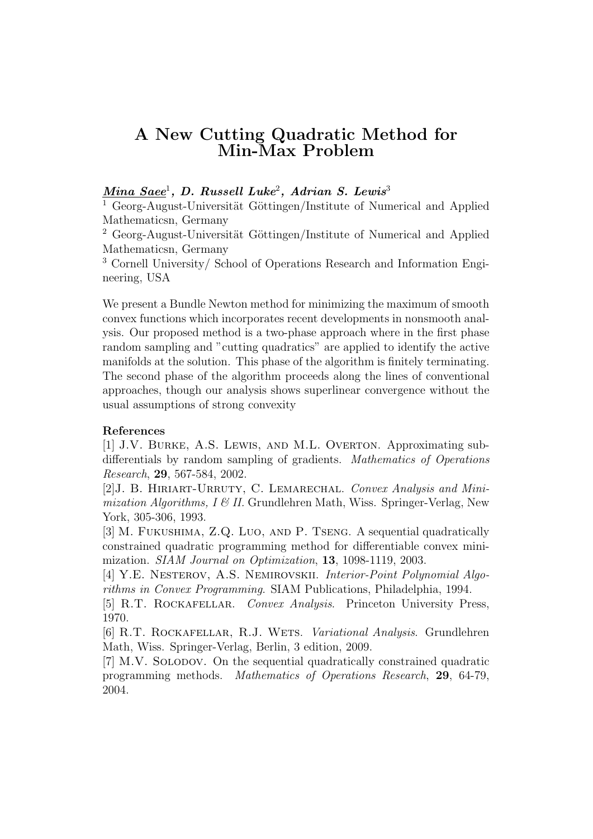## A New Cutting Quadratic Method for Min-Max Problem

### $\bm{M}$ ina  $\bm{S}$ aee $^1$ , D. Russell Luke $^2$ , Adrian S. Lewis $^3$

 $1$  Georg-August-Universität Göttingen/Institute of Numerical and Applied Mathematicsn, Germany

<sup>2</sup> Georg-August-Universität Göttingen/Institute of Numerical and Applied Mathematicsn, Germany

<sup>3</sup> Cornell University/ School of Operations Research and Information Engineering, USA

We present a Bundle Newton method for minimizing the maximum of smooth convex functions which incorporates recent developments in nonsmooth analysis. Our proposed method is a two-phase approach where in the first phase random sampling and "cutting quadratics" are applied to identify the active manifolds at the solution. This phase of the algorithm is finitely terminating. The second phase of the algorithm proceeds along the lines of conventional approaches, though our analysis shows superlinear convergence without the usual assumptions of strong convexity

#### References

[1] J.V. Burke, A.S. Lewis, and M.L. Overton. Approximating subdifferentials by random sampling of gradients. Mathematics of Operations Research, 29, 567-584, 2002.

[2]J. B. Hiriart-Urruty, C. Lemarechal. Convex Analysis and Minimization Algorithms,  $I \& II$ . Grundlehren Math, Wiss. Springer-Verlag, New York, 305-306, 1993.

[3] M. Fukushima, Z.Q. Luo, and P. Tseng. A sequential quadratically constrained quadratic programming method for differentiable convex minimization. SIAM Journal on Optimization, 13, 1098-1119, 2003.

[4] Y.E. NESTEROV, A.S. NEMIROVSKII. Interior-Point Polynomial Algorithms in Convex Programming. SIAM Publications, Philadelphia, 1994.

[5] R.T. ROCKAFELLAR. Convex Analysis. Princeton University Press, 1970.

[6] R.T. ROCKAFELLAR, R.J. WETS. Variational Analysis. Grundlehren Math, Wiss. Springer-Verlag, Berlin, 3 edition, 2009.

[7] M.V. SOLODOV. On the sequential quadratically constrained quadratic programming methods. Mathematics of Operations Research, 29, 64-79, 2004.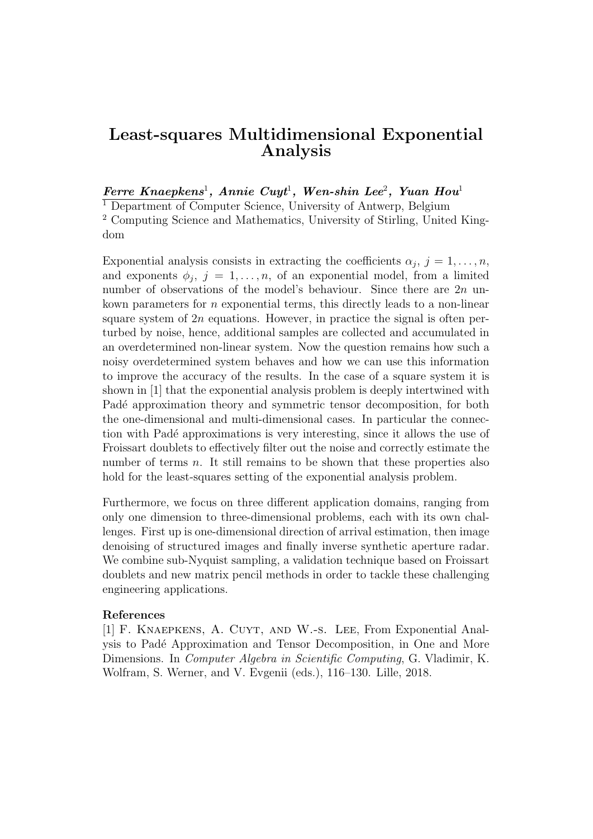## Least-squares Multidimensional Exponential Analysis

#### $\textit{Ferre Knaepkens}^1$ , Annie Cuyt<sup>1</sup>, Wen-shin Lee<sup>2</sup>, Yuan Hou<sup>1</sup>

<sup>1</sup> Department of Computer Science, University of Antwerp, Belgium <sup>2</sup> Computing Science and Mathematics, University of Stirling, United Kingdom

Exponential analysis consists in extracting the coefficients  $\alpha_j$ ,  $j = 1, \ldots, n$ , and exponents  $\phi_j$ ,  $j = 1, \ldots, n$ , of an exponential model, from a limited number of observations of the model's behaviour. Since there are  $2n$  unkown parameters for  $n$  exponential terms, this directly leads to a non-linear square system of  $2n$  equations. However, in practice the signal is often perturbed by noise, hence, additional samples are collected and accumulated in an overdetermined non-linear system. Now the question remains how such a noisy overdetermined system behaves and how we can use this information to improve the accuracy of the results. In the case of a square system it is shown in [1] that the exponential analysis problem is deeply intertwined with Padé approximation theory and symmetric tensor decomposition, for both the one-dimensional and multi-dimensional cases. In particular the connection with Pad´e approximations is very interesting, since it allows the use of Froissart doublets to effectively filter out the noise and correctly estimate the number of terms  $n$ . It still remains to be shown that these properties also hold for the least-squares setting of the exponential analysis problem.

Furthermore, we focus on three different application domains, ranging from only one dimension to three-dimensional problems, each with its own challenges. First up is one-dimensional direction of arrival estimation, then image denoising of structured images and finally inverse synthetic aperture radar. We combine sub-Nyquist sampling, a validation technique based on Froissart doublets and new matrix pencil methods in order to tackle these challenging engineering applications.

#### References

[1] F. Knaepkens, A. Cuyt, and W.-s. Lee, From Exponential Analysis to Padé Approximation and Tensor Decomposition, in One and More Dimensions. In Computer Algebra in Scientific Computing, G. Vladimir, K. Wolfram, S. Werner, and V. Evgenii (eds.), 116–130. Lille, 2018.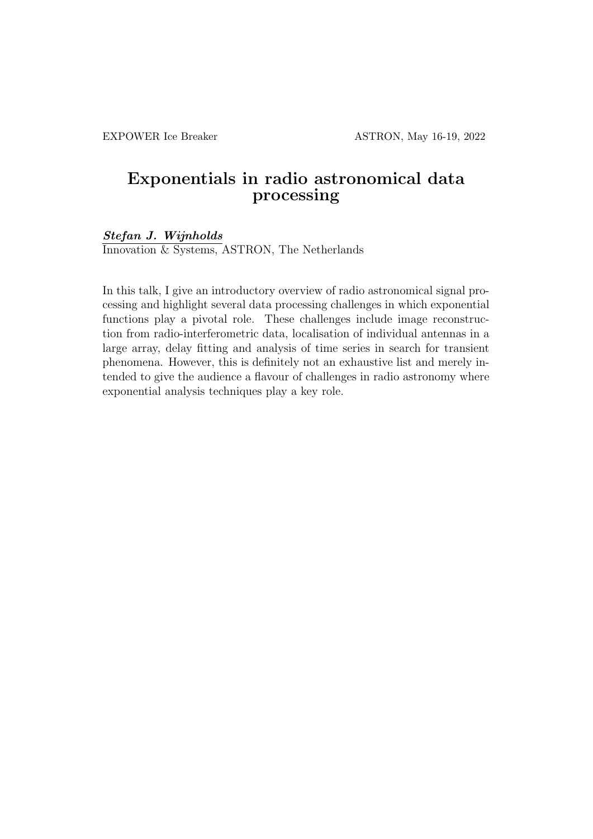## Exponentials in radio astronomical data processing

Stefan J. Wijnholds

Innovation & Systems, ASTRON, The Netherlands

In this talk, I give an introductory overview of radio astronomical signal processing and highlight several data processing challenges in which exponential functions play a pivotal role. These challenges include image reconstruction from radio-interferometric data, localisation of individual antennas in a large array, delay fitting and analysis of time series in search for transient phenomena. However, this is definitely not an exhaustive list and merely intended to give the audience a flavour of challenges in radio astronomy where exponential analysis techniques play a key role.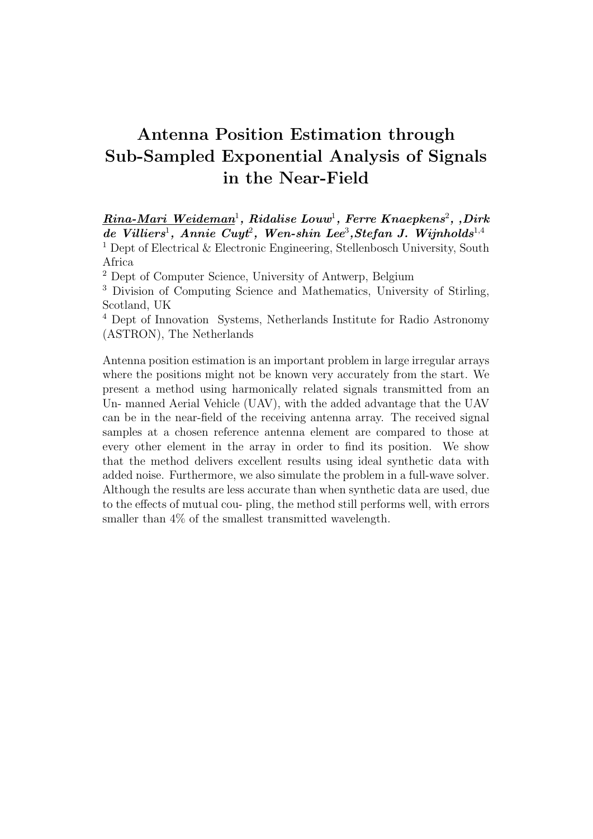## Antenna Position Estimation through Sub-Sampled Exponential Analysis of Signals in the Near-Field

 $\boldsymbol{R}$ ina-Mari Weideman<sup>1</sup>, Ridalise Louw<sup>1</sup>, Ferre Knaepkens<sup>2</sup>, ,Dirk  $de\\n$  Villiers<sup>1</sup>, Annie Cuyt<sup>2</sup>, Wen-shin Lee<sup>3</sup>, Stefan J. Wijnholds<sup>1,4</sup> <sup>1</sup> Dept of Electrical  $\&$  Electronic Engineering, Stellenbosch University, South

<sup>2</sup> Dept of Computer Science, University of Antwerp, Belgium

<sup>3</sup> Division of Computing Science and Mathematics, University of Stirling, Scotland, UK

<sup>4</sup> Dept of Innovation Systems, Netherlands Institute for Radio Astronomy (ASTRON), The Netherlands

Antenna position estimation is an important problem in large irregular arrays where the positions might not be known very accurately from the start. We present a method using harmonically related signals transmitted from an Un- manned Aerial Vehicle (UAV), with the added advantage that the UAV can be in the near-field of the receiving antenna array. The received signal samples at a chosen reference antenna element are compared to those at every other element in the array in order to find its position. We show that the method delivers excellent results using ideal synthetic data with added noise. Furthermore, we also simulate the problem in a full-wave solver. Although the results are less accurate than when synthetic data are used, due to the effects of mutual cou- pling, the method still performs well, with errors smaller than 4% of the smallest transmitted wavelength.

Africa